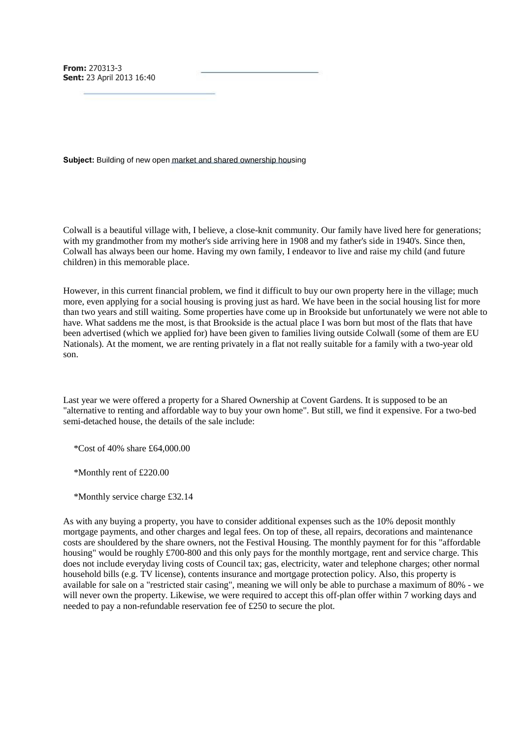**From:** 270313-3 **Sent:** 23 April 2013 16:40

**Subject:** Building of new open market and shared ownership housing

Colwall is a beautiful village with, I believe, a close-knit community. Our family have lived here for generations; with my grandmother from my mother's side arriving here in 1908 and my father's side in 1940's. Since then, Colwall has always been our home. Having my own family, I endeavor to live and raise my child (and future children) in this memorable place.

However, in this current financial problem, we find it difficult to buy our own property here in the village; much more, even applying for a social housing is proving just as hard. We have been in the social housing list for more than two years and still waiting. Some properties have come up in Brookside but unfortunately we were not able to have. What saddens me the most, is that Brookside is the actual place I was born but most of the flats that have been advertised (which we applied for) have been given to families living outside Colwall (some of them are EU Nationals). At the moment, we are renting privately in a flat not really suitable for a family with a two-year old son.

Last year we were offered a property for a Shared Ownership at Covent Gardens. It is supposed to be an "alternative to renting and affordable way to buy your own home". But still, we find it expensive. For a two-bed semi-detached house, the details of the sale include:

\*Cost of 40% share £64,000.00

\*Monthly rent of £220.00

\*Monthly service charge £32.14

As with any buying a property, you have to consider additional expenses such as the 10% deposit monthly mortgage payments, and other charges and legal fees. On top of these, all repairs, decorations and maintenance costs are shouldered by the share owners, not the Festival Housing. The monthly payment for for this "affordable housing" would be roughly £700-800 and this only pays for the monthly mortgage, rent and service charge. This does not include everyday living costs of Council tax; gas, electricity, water and telephone charges; other normal household bills (e.g. TV license), contents insurance and mortgage protection policy. Also, this property is available for sale on a "restricted stair casing", meaning we will only be able to purchase a maximum of 80% - we will never own the property. Likewise, we were required to accept this off-plan offer within 7 working days and needed to pay a non-refundable reservation fee of £250 to secure the plot.